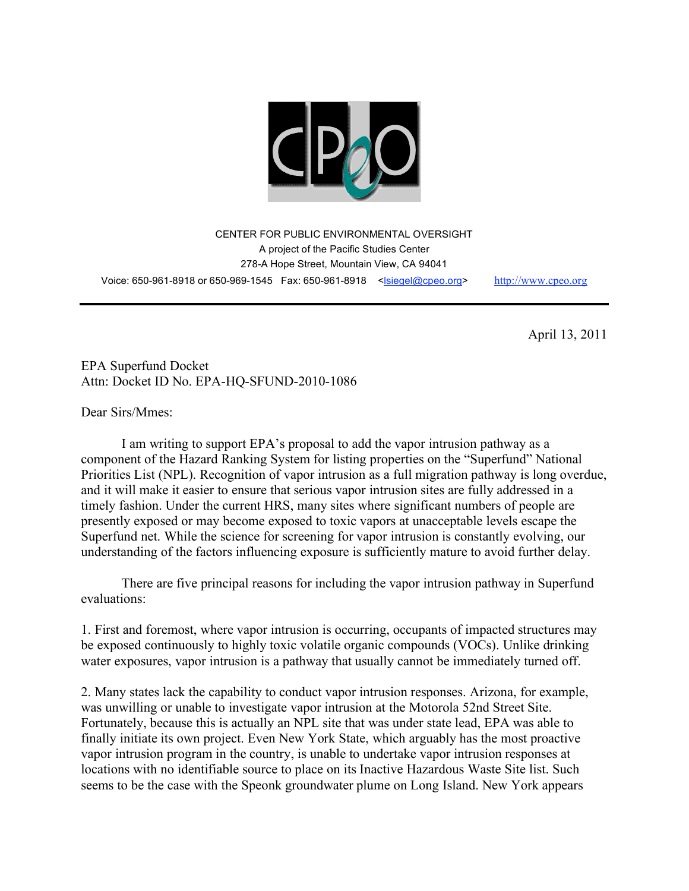

CENTER FOR PUBLIC ENVIRONMENTAL OVERSIGHT A project of the Pacific Studies Center 278-A Hope Street, Mountain View, CA 94041 Voice: 650-961-8918 or 650-969-1545 Fax: 650-961-8918 <siegel@cpeo.org> http://www.cpeo.org

April 13, 2011

EPA Superfund Docket Attn: Docket ID No. EPA-HQ-SFUND-2010-1086

Dear Sirs/Mmes:

I am writing to support EPA's proposal to add the vapor intrusion pathway as a component of the Hazard Ranking System for listing properties on the "Superfund" National Priorities List (NPL). Recognition of vapor intrusion as a full migration pathway is long overdue, and it will make it easier to ensure that serious vapor intrusion sites are fully addressed in a timely fashion. Under the current HRS, many sites where significant numbers of people are presently exposed or may become exposed to toxic vapors at unacceptable levels escape the Superfund net. While the science for screening for vapor intrusion is constantly evolving, our understanding of the factors influencing exposure is sufficiently mature to avoid further delay.

There are five principal reasons for including the vapor intrusion pathway in Superfund evaluations:

1. First and foremost, where vapor intrusion is occurring, occupants of impacted structures may be exposed continuously to highly toxic volatile organic compounds (VOCs). Unlike drinking water exposures, vapor intrusion is a pathway that usually cannot be immediately turned off.

2. Many states lack the capability to conduct vapor intrusion responses. Arizona, for example, was unwilling or unable to investigate vapor intrusion at the Motorola 52nd Street Site. Fortunately, because this is actually an NPL site that was under state lead, EPA was able to finally initiate its own project. Even New York State, which arguably has the most proactive vapor intrusion program in the country, is unable to undertake vapor intrusion responses at locations with no identifiable source to place on its Inactive Hazardous Waste Site list. Such seems to be the case with the Speonk groundwater plume on Long Island. New York appears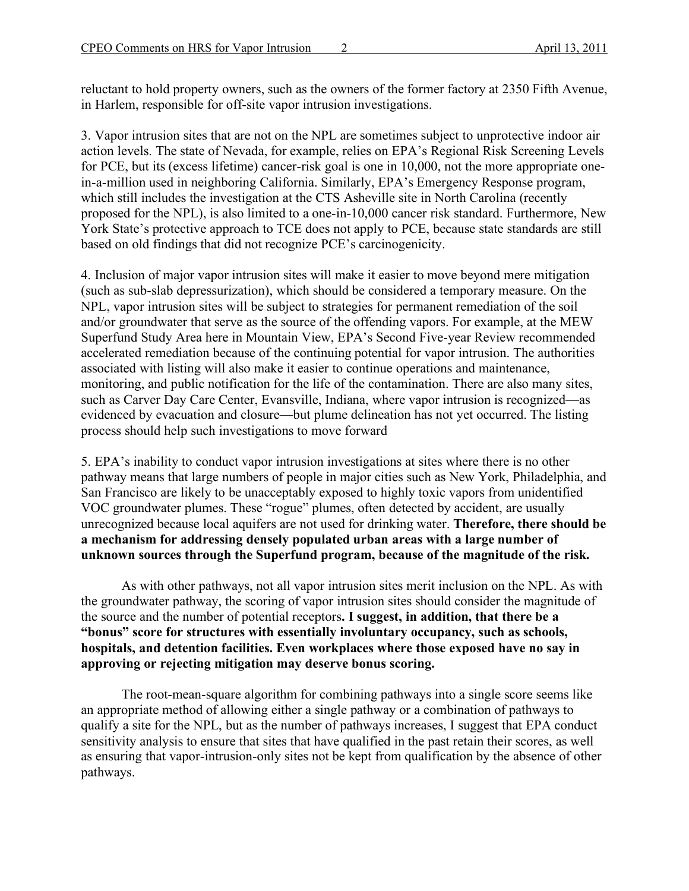reluctant to hold property owners, such as the owners of the former factory at 2350 Fifth Avenue, in Harlem, responsible for off-site vapor intrusion investigations.

3. Vapor intrusion sites that are not on the NPL are sometimes subject to unprotective indoor air action levels. The state of Nevada, for example, relies on EPA's Regional Risk Screening Levels for PCE, but its (excess lifetime) cancer-risk goal is one in 10,000, not the more appropriate onein-a-million used in neighboring California. Similarly, EPA's Emergency Response program, which still includes the investigation at the CTS Asheville site in North Carolina (recently proposed for the NPL), is also limited to a one-in-10,000 cancer risk standard. Furthermore, New York State's protective approach to TCE does not apply to PCE, because state standards are still based on old findings that did not recognize PCE's carcinogenicity.

4. Inclusion of major vapor intrusion sites will make it easier to move beyond mere mitigation (such as sub-slab depressurization), which should be considered a temporary measure. On the NPL, vapor intrusion sites will be subject to strategies for permanent remediation of the soil and/or groundwater that serve as the source of the offending vapors. For example, at the MEW Superfund Study Area here in Mountain View, EPA's Second Five-year Review recommended accelerated remediation because of the continuing potential for vapor intrusion. The authorities associated with listing will also make it easier to continue operations and maintenance, monitoring, and public notification for the life of the contamination. There are also many sites, such as Carver Day Care Center, Evansville, Indiana, where vapor intrusion is recognized—as evidenced by evacuation and closure—but plume delineation has not yet occurred. The listing process should help such investigations to move forward

5. EPA's inability to conduct vapor intrusion investigations at sites where there is no other pathway means that large numbers of people in major cities such as New York, Philadelphia, and San Francisco are likely to be unacceptably exposed to highly toxic vapors from unidentified VOC groundwater plumes. These "rogue" plumes, often detected by accident, are usually unrecognized because local aquifers are not used for drinking water. **Therefore, there should be a mechanism for addressing densely populated urban areas with a large number of unknown sources through the Superfund program, because of the magnitude of the risk.**

As with other pathways, not all vapor intrusion sites merit inclusion on the NPL. As with the groundwater pathway, the scoring of vapor intrusion sites should consider the magnitude of the source and the number of potential receptors**. I suggest, in addition, that there be a "bonus" score for structures with essentially involuntary occupancy, such as schools, hospitals, and detention facilities. Even workplaces where those exposed have no say in approving or rejecting mitigation may deserve bonus scoring.**

The root-mean-square algorithm for combining pathways into a single score seems like an appropriate method of allowing either a single pathway or a combination of pathways to qualify a site for the NPL, but as the number of pathways increases, I suggest that EPA conduct sensitivity analysis to ensure that sites that have qualified in the past retain their scores, as well as ensuring that vapor-intrusion-only sites not be kept from qualification by the absence of other pathways.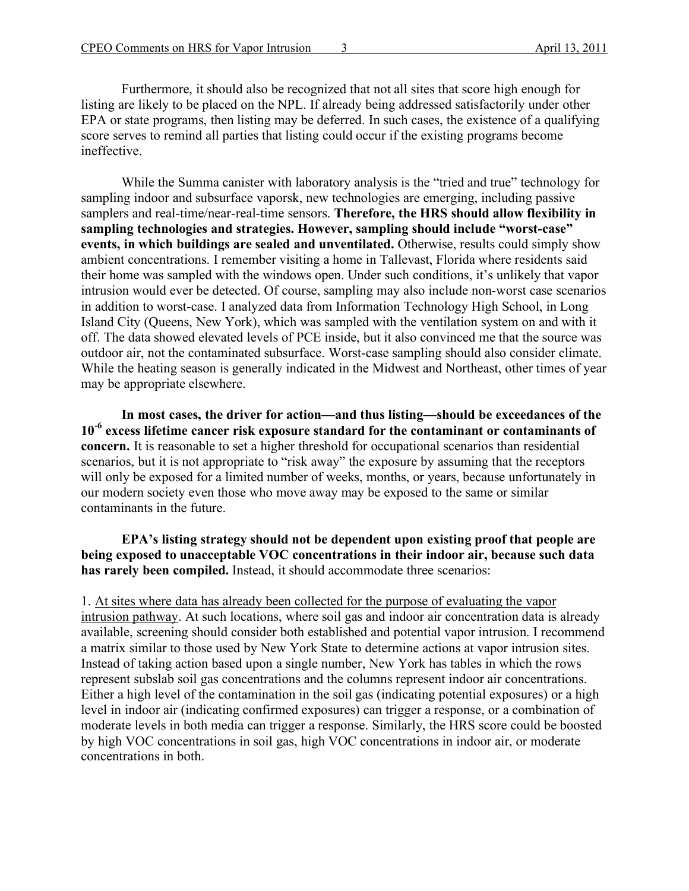Furthermore, it should also be recognized that not all sites that score high enough for listing are likely to be placed on the NPL. If already being addressed satisfactorily under other EPA or state programs, then listing may be deferred. In such cases, the existence of a qualifying score serves to remind all parties that listing could occur if the existing programs become ineffective.

While the Summa canister with laboratory analysis is the "tried and true" technology for sampling indoor and subsurface vaporsk, new technologies are emerging, including passive samplers and real-time/near-real-time sensors. **Therefore, the HRS should allow flexibility in sampling technologies and strategies. However, sampling should include "worst-case" events, in which buildings are sealed and unventilated.** Otherwise, results could simply show ambient concentrations. I remember visiting a home in Tallevast, Florida where residents said their home was sampled with the windows open. Under such conditions, it's unlikely that vapor intrusion would ever be detected. Of course, sampling may also include non-worst case scenarios in addition to worst-case. I analyzed data from Information Technology High School, in Long Island City (Queens, New York), which was sampled with the ventilation system on and with it off. The data showed elevated levels of PCE inside, but it also convinced me that the source was outdoor air, not the contaminated subsurface. Worst-case sampling should also consider climate. While the heating season is generally indicated in the Midwest and Northeast, other times of year may be appropriate elsewhere.

**In most cases, the driver for action—and thus listing—should be exceedances of the 10-6 excess lifetime cancer risk exposure standard for the contaminant or contaminants of concern.** It is reasonable to set a higher threshold for occupational scenarios than residential scenarios, but it is not appropriate to "risk away" the exposure by assuming that the receptors will only be exposed for a limited number of weeks, months, or years, because unfortunately in our modern society even those who move away may be exposed to the same or similar contaminants in the future.

**EPA's listing strategy should not be dependent upon existing proof that people are being exposed to unacceptable VOC concentrations in their indoor air, because such data has rarely been compiled.** Instead, it should accommodate three scenarios:

1. At sites where data has already been collected for the purpose of evaluating the vapor intrusion pathway. At such locations, where soil gas and indoor air concentration data is already available, screening should consider both established and potential vapor intrusion. I recommend a matrix similar to those used by New York State to determine actions at vapor intrusion sites. Instead of taking action based upon a single number, New York has tables in which the rows represent subslab soil gas concentrations and the columns represent indoor air concentrations. Either a high level of the contamination in the soil gas (indicating potential exposures) or a high level in indoor air (indicating confirmed exposures) can trigger a response, or a combination of moderate levels in both media can trigger a response. Similarly, the HRS score could be boosted by high VOC concentrations in soil gas, high VOC concentrations in indoor air, or moderate concentrations in both.